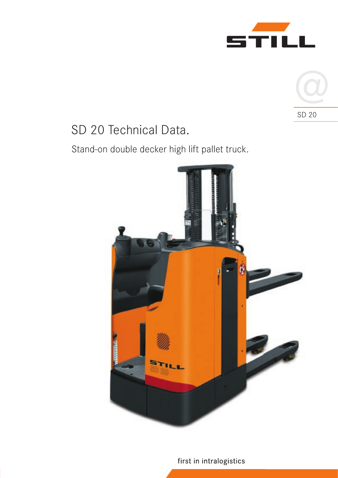



# SD 20 Technical Data.

Stand-on double decker high lift pallet truck.



first in intralogistics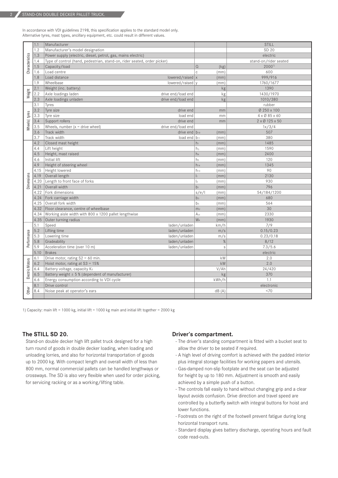2

In accordance with VDI guidelines 2198, this specification applies to the standard model only. Alternative tyres, mast types, ancillary equipment, etc. could result in different values.

|                                                                                                                                                                                                                                                                                                                                                  | 1.1  | Manufacturer                                                             |                                                                                                                                                                                                                                                                                                                                  |                                                                                                       | <b>STILL</b>          |
|--------------------------------------------------------------------------------------------------------------------------------------------------------------------------------------------------------------------------------------------------------------------------------------------------------------------------------------------------|------|--------------------------------------------------------------------------|----------------------------------------------------------------------------------------------------------------------------------------------------------------------------------------------------------------------------------------------------------------------------------------------------------------------------------|-------------------------------------------------------------------------------------------------------|-----------------------|
| Characteristics                                                                                                                                                                                                                                                                                                                                  | 1.2  | Manufacturer's model designation                                         |                                                                                                                                                                                                                                                                                                                                  |                                                                                                       | SD 20                 |
|                                                                                                                                                                                                                                                                                                                                                  | 1.3  | Power supply (electric, diesel, petrol, gas, mains electric)             |                                                                                                                                                                                                                                                                                                                                  |                                                                                                       | electric              |
|                                                                                                                                                                                                                                                                                                                                                  | 1.4  | Type of control (hand, pedestrian, stand-on, rider seated, order picker) |                                                                                                                                                                                                                                                                                                                                  |                                                                                                       | stand-on/rider seated |
|                                                                                                                                                                                                                                                                                                                                                  | 1.5  | Capacity/load                                                            |                                                                                                                                                                                                                                                                                                                                  | $\Omega$<br>(kg)                                                                                      | $2000^{11}$           |
|                                                                                                                                                                                                                                                                                                                                                  | 1.6  | Load centre                                                              |                                                                                                                                                                                                                                                                                                                                  | $\mathbb C$<br>(mm)                                                                                   | 600                   |
|                                                                                                                                                                                                                                                                                                                                                  | 1.8  | Load distance                                                            | lowered/raised $x$                                                                                                                                                                                                                                                                                                               | (mm)                                                                                                  | 999/916               |
|                                                                                                                                                                                                                                                                                                                                                  | 1.9  | Wheelbase                                                                | lowered/raised v                                                                                                                                                                                                                                                                                                                 | (mm)                                                                                                  | 1760/1677             |
|                                                                                                                                                                                                                                                                                                                                                  | 2.1  | Weight (inc. battery)                                                    |                                                                                                                                                                                                                                                                                                                                  | kg                                                                                                    | 1390                  |
| Weight                                                                                                                                                                                                                                                                                                                                           | 2.2  | Axle loadings laden<br>drive end/load end                                |                                                                                                                                                                                                                                                                                                                                  | kg                                                                                                    | 1430/1970             |
|                                                                                                                                                                                                                                                                                                                                                  | 2.3  | Axle loadings unladen<br>drive end/load end                              |                                                                                                                                                                                                                                                                                                                                  | kg                                                                                                    | 1010/380              |
|                                                                                                                                                                                                                                                                                                                                                  | 3.1  | Tyres                                                                    |                                                                                                                                                                                                                                                                                                                                  |                                                                                                       | rubber                |
|                                                                                                                                                                                                                                                                                                                                                  | 3.2  | Tyre size                                                                | drive end                                                                                                                                                                                                                                                                                                                        | mm                                                                                                    | Ø 250 x 100           |
| Wheels   tyres                                                                                                                                                                                                                                                                                                                                   | 3.3  | Tyre size                                                                | load end                                                                                                                                                                                                                                                                                                                         | mm                                                                                                    | 4 x Ø 85 x 60         |
|                                                                                                                                                                                                                                                                                                                                                  | 3.4  | Support rollers                                                          | drive end                                                                                                                                                                                                                                                                                                                        | mm                                                                                                    | 2 x Ø 125 x 50        |
|                                                                                                                                                                                                                                                                                                                                                  | 3.5  | Wheels, number $(x =$ drive wheel)<br>drive end/load end                 |                                                                                                                                                                                                                                                                                                                                  |                                                                                                       | 1x/3/4                |
|                                                                                                                                                                                                                                                                                                                                                  | 3.6  | Track width                                                              | drive end $ b_{10} $                                                                                                                                                                                                                                                                                                             | (mm)                                                                                                  | 507                   |
|                                                                                                                                                                                                                                                                                                                                                  | 3.7  | Track width                                                              | load end   b11                                                                                                                                                                                                                                                                                                                   | (mm)                                                                                                  | 380                   |
|                                                                                                                                                                                                                                                                                                                                                  | 4.2  | Closed mast height                                                       |                                                                                                                                                                                                                                                                                                                                  | $h_1$<br>(mm)                                                                                         | 1485                  |
|                                                                                                                                                                                                                                                                                                                                                  | 4.4  | Lift height                                                              |                                                                                                                                                                                                                                                                                                                                  | $h_3$<br>(mm)                                                                                         | 1590                  |
| Dimensions                                                                                                                                                                                                                                                                                                                                       | 4.5  | Height, mast raised                                                      |                                                                                                                                                                                                                                                                                                                                  | h <sub>4</sub><br>(mm)                                                                                | 2400                  |
|                                                                                                                                                                                                                                                                                                                                                  | 4.6  | Initial lift                                                             |                                                                                                                                                                                                                                                                                                                                  | h <sub>5</sub><br>(mm)                                                                                | 120                   |
|                                                                                                                                                                                                                                                                                                                                                  | 4.9  | Height of steering wheel                                                 |                                                                                                                                                                                                                                                                                                                                  | $h_{14}$<br>(mm)                                                                                      | 1345                  |
|                                                                                                                                                                                                                                                                                                                                                  | 4.15 | Height lowered                                                           |                                                                                                                                                                                                                                                                                                                                  | h <sub>13</sub><br>(mm)                                                                               | 90                    |
|                                                                                                                                                                                                                                                                                                                                                  | 4.19 | Overall length                                                           |                                                                                                                                                                                                                                                                                                                                  | (mm)<br> 1                                                                                            | 2130                  |
|                                                                                                                                                                                                                                                                                                                                                  | 4.20 | Length to front face of forks                                            |                                                                                                                                                                                                                                                                                                                                  | $\mathsf{I}_2$<br>(mm)                                                                                | 930                   |
|                                                                                                                                                                                                                                                                                                                                                  | 4.21 | Overall width                                                            |                                                                                                                                                                                                                                                                                                                                  | $b_1$<br>(mm)                                                                                         | 796                   |
|                                                                                                                                                                                                                                                                                                                                                  | 4.22 | Fork dimensions                                                          |                                                                                                                                                                                                                                                                                                                                  | s/e/l<br>(mm)                                                                                         | 54/184/1200           |
|                                                                                                                                                                                                                                                                                                                                                  |      | 4.24   Fork carriage width                                               |                                                                                                                                                                                                                                                                                                                                  | b <sub>3</sub><br>(mm)                                                                                | 680                   |
|                                                                                                                                                                                                                                                                                                                                                  | 4.25 | Overall fork width                                                       |                                                                                                                                                                                                                                                                                                                                  | b <sub>5</sub><br>(mm)                                                                                | 564                   |
|                                                                                                                                                                                                                                                                                                                                                  | 4.32 | Floor clearance, centre of wheelbase                                     |                                                                                                                                                                                                                                                                                                                                  | m <sub>2</sub><br>(mm)                                                                                | 30                    |
|                                                                                                                                                                                                                                                                                                                                                  | 4.34 | Working aisle width with 800 x 1200 pallet lengthwise                    |                                                                                                                                                                                                                                                                                                                                  | A <sub>st</sub><br>(mm)                                                                               | 2330                  |
|                                                                                                                                                                                                                                                                                                                                                  | 4.35 | Outer turning radius                                                     |                                                                                                                                                                                                                                                                                                                                  | Wa<br>(mm)                                                                                            | 1930                  |
|                                                                                                                                                                                                                                                                                                                                                  | 5.1  | Speed                                                                    | laden/unladen                                                                                                                                                                                                                                                                                                                    | km/h                                                                                                  | 7/9                   |
|                                                                                                                                                                                                                                                                                                                                                  | 5.2  | Lifting time                                                             | laden/unladen                                                                                                                                                                                                                                                                                                                    | m/s                                                                                                   | 0.15/0.23             |
|                                                                                                                                                                                                                                                                                                                                                  | 5.3  | Lowering time                                                            | laden/unladen                                                                                                                                                                                                                                                                                                                    | m/s                                                                                                   | 0.23/0.18             |
| Performance                                                                                                                                                                                                                                                                                                                                      | 5.8  | Gradeability                                                             | laden/unladen                                                                                                                                                                                                                                                                                                                    | $\%$                                                                                                  | 8/12                  |
|                                                                                                                                                                                                                                                                                                                                                  | 5.9  | Acceleration time (over 10 m)                                            | laden/unladen                                                                                                                                                                                                                                                                                                                    | $\mathsf S$                                                                                           | 7.3/5.6               |
|                                                                                                                                                                                                                                                                                                                                                  | 5.10 | <b>Brakes</b>                                                            |                                                                                                                                                                                                                                                                                                                                  |                                                                                                       | electric              |
| Electric Motors                                                                                                                                                                                                                                                                                                                                  | 6.1  | Drive motor, rating $S2 = 60$ min.                                       |                                                                                                                                                                                                                                                                                                                                  | kW                                                                                                    | 2.0                   |
|                                                                                                                                                                                                                                                                                                                                                  | 6.2  | Hoist motor, rating at $S3 = 15%$                                        |                                                                                                                                                                                                                                                                                                                                  | kW                                                                                                    | 2.0                   |
|                                                                                                                                                                                                                                                                                                                                                  | 6.4  | Battery voltage, capacity K5                                             |                                                                                                                                                                                                                                                                                                                                  | V/Ah                                                                                                  | 24/420                |
|                                                                                                                                                                                                                                                                                                                                                  | 6.5  | Battery weight $\pm$ 5 % (dependent of manufacturer)                     |                                                                                                                                                                                                                                                                                                                                  | kg                                                                                                    | 370                   |
|                                                                                                                                                                                                                                                                                                                                                  | 6.6  | Energy consumption according to VDI cycle                                |                                                                                                                                                                                                                                                                                                                                  | kWh/h                                                                                                 | 1.1                   |
|                                                                                                                                                                                                                                                                                                                                                  | 8.1  | Drive control                                                            |                                                                                                                                                                                                                                                                                                                                  |                                                                                                       | electronic            |
| Other                                                                                                                                                                                                                                                                                                                                            | 8.4  | Noise peak at operator's ears                                            |                                                                                                                                                                                                                                                                                                                                  | dB(A)                                                                                                 | <70                   |
| 1) Capacity: main lift = 1000 kg, initial lift = 1000 kg main and initial lift together = 2000 kg                                                                                                                                                                                                                                                |      |                                                                          |                                                                                                                                                                                                                                                                                                                                  |                                                                                                       |                       |
| The STILL SD 20.<br>Driver's compartment.                                                                                                                                                                                                                                                                                                        |      |                                                                          |                                                                                                                                                                                                                                                                                                                                  |                                                                                                       |                       |
| Stand-on double decker high lift pallet truck designed for a high<br>turn round of goods in double decker loading, when loading and<br>unloading lorries, and also for horizontal transportation of goods<br>up to 2000 kg. With compact length and overall width of less than<br>800 mm, normal commercial pallets can be handled lengthways or |      |                                                                          | - The driver's standing compartment is fitted with a bucket seat to<br>allow the driver to be seated if required.<br>- A high level of driving comfort is achieved with the padded interior<br>plus integral storage facilities for working papers and utensils.<br>- Gas-damped non-slip footplate and the seat can be adjusted |                                                                                                       |                       |
| crossways. The SD is also very flexible when used for order picking,<br>for servicing racking or as a working/lifting table.                                                                                                                                                                                                                     |      |                                                                          |                                                                                                                                                                                                                                                                                                                                  | for height by up to 180 mm. Adjustment is smooth and easily<br>achieved by a simple push of a button. |                       |

# **The STILL SD 20.**

#### **Driver's compartment.**

- The driver's standing compartment is fitted with a bucket seat to allow the driver to be seated if required.
- A high level of driving comfort is achieved with the padded interior plus integral storage facilities for working papers and utensils.
- Gas-damped non-slip footplate and the seat can be adjusted for height by up to 180 mm. Adjustment is smooth and easily achieved by a simple push of a button.
- The controls fall easily to hand without changing grip and a clear layout avoids confusion. Drive direction and travel speed are controlled by a butterfly switch with integral buttons for hoist and lower functions.
- Footrests on the right of the footwell prevent fatigue during long horizontal transport runs.
- Standard display gives battery discharge, operating hours and fault code read-outs.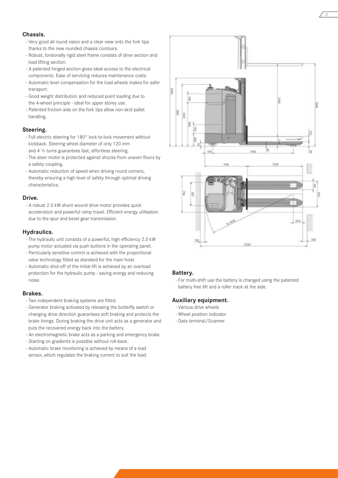#### **Chassis.**

- Very good all round vision and a clear view onto the fork tips thanks to the new rounded chassis contours.
- Robust, torsionally rigid steel frame consists of drive section and load lifting section.
- A patented hinged section gives ideal access to the electrical components. Ease of servicing reduces maintenance costs.
- Automatic level compensation for the load wheels makes for safer transport.
- Good weight distribution and reduced point loading due to the 4-wheel principle - ideal for upper storey use.
- Patented friction aids on the fork tips allow non-skid pallet handling.

# **Steering.**

- Full electric steering for 180° lock-to-lock movement without kickback. Steering wheel diameter of only 120 mm and 4 ½ turns guarantees fast, effortless steering.
- The steer motor is protected against shocks from uneven floors by a safety coupling.
- Automatic reduction of speed when driving round corners, thereby ensuring a high level of safety through optimal driving characteristics.

# **Drive.**

- A robust 2.0 kW shunt wound drive motor provides quick acceleration and powerful ramp travel. Efficient energy utilisation due to the spur and bevel gear transmission.

#### **Hydraulics.**

- The hydraulic unit consists of a powerful, high efficiency 2.0 kW pump motor actuated via push buttons in the operating panel.
- Particularly sensitive control is achieved with the proportional valve technology fitted as standard for the main hoist.
- Automatic shut-off of the initial lift is achieved by an overload protection for the hydraulic pump - saving energy and reducing noise.

#### **Brakes.**

- Two independent braking systems are fitted.
- Generator braking activated by releasing the butterfly switch or changing drive direction guarantees soft braking and protects the brake linings. During braking the drive unit acts as a generator and puts the recovered energy back into the battery.
- An electromagnetic brake acts as a parking and emergency brake.
- Starting on gradients is possible without roll-back.
- Automatic brake monitoring is achieved by means of a load sensor, which regulates the braking current to suit the load.



3

# **Battery.**

- For multi-shift use the battery is changed using the patented battery free lift and a roller track at the side.

#### **Auxiliary equipment.**

- Various drive wheels
- Wheel position indicator
- Data terminal/Scanner